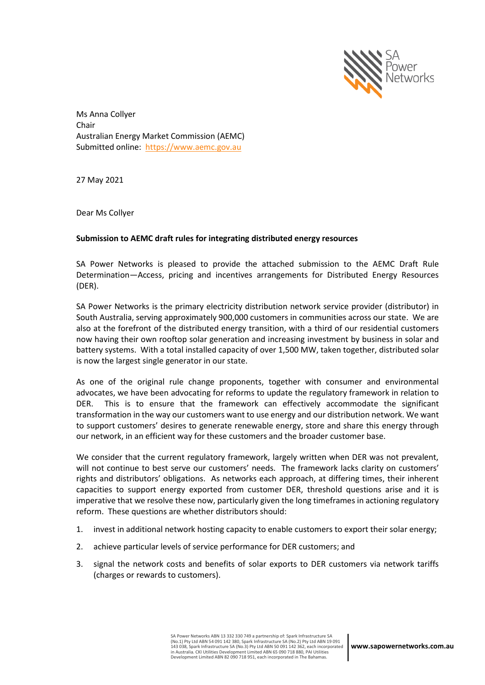

Ms Anna Collyer Chair Australian Energy Market Commission (AEMC) Submitted online: [https://www.aemc.gov.au](https://www.aemc.gov.au/)

27 May 2021

Dear Ms Collyer

#### **Submission to AEMC draft rules for integrating distributed energy resources**

SA Power Networks is pleased to provide the attached submission to the AEMC Draft Rule Determination—Access, pricing and incentives arrangements for Distributed Energy Resources (DER).

SA Power Networks is the primary electricity distribution network service provider (distributor) in South Australia, serving approximately 900,000 customers in communities across our state. We are also at the forefront of the distributed energy transition, with a third of our residential customers now having their own rooftop solar generation and increasing investment by business in solar and battery systems. With a total installed capacity of over 1,500 MW, taken together, distributed solar is now the largest single generator in our state.

As one of the original rule change proponents, together with consumer and environmental advocates, we have been advocating for reforms to update the regulatory framework in relation to DER. This is to ensure that the framework can effectively accommodate the significant transformation in the way our customers want to use energy and our distribution network. We want to support customers' desires to generate renewable energy, store and share this energy through our network, in an efficient way for these customers and the broader customer base.

We consider that the current regulatory framework, largely written when DER was not prevalent, will not continue to best serve our customers' needs. The framework lacks clarity on customers' rights and distributors' obligations. As networks each approach, at differing times, their inherent capacities to support energy exported from customer DER, threshold questions arise and it is imperative that we resolve these now, particularly given the long timeframes in actioning regulatory reform. These questions are whether distributors should:

- 1. invest in additional network hosting capacity to enable customers to export their solar energy;
- 2. achieve particular levels of service performance for DER customers; and
- 3. signal the network costs and benefits of solar exports to DER customers via network tariffs (charges or rewards to customers).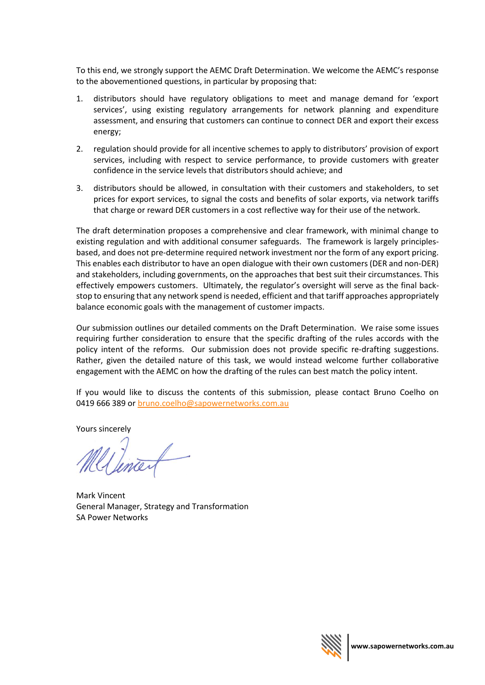To this end, we strongly support the AEMC Draft Determination. We welcome the AEMC's response to the abovementioned questions, in particular by proposing that:

- 1. distributors should have regulatory obligations to meet and manage demand for 'export services', using existing regulatory arrangements for network planning and expenditure assessment, and ensuring that customers can continue to connect DER and export their excess energy;
- 2. regulation should provide for all incentive schemes to apply to distributors' provision of export services, including with respect to service performance, to provide customers with greater confidence in the service levels that distributors should achieve; and
- 3. distributors should be allowed, in consultation with their customers and stakeholders, to set prices for export services, to signal the costs and benefits of solar exports, via network tariffs that charge or reward DER customers in a cost reflective way for their use of the network.

The draft determination proposes a comprehensive and clear framework, with minimal change to existing regulation and with additional consumer safeguards. The framework is largely principlesbased, and does not pre-determine required network investment nor the form of any export pricing. This enables each distributor to have an open dialogue with their own customers (DER and non-DER) and stakeholders, including governments, on the approaches that best suit their circumstances. This effectively empowers customers. Ultimately, the regulator's oversight will serve as the final backstop to ensuring that any network spend is needed, efficient and that tariff approaches appropriately balance economic goals with the management of customer impacts.

Our submission outlines our detailed comments on the Draft Determination. We raise some issues requiring further consideration to ensure that the specific drafting of the rules accords with the policy intent of the reforms. Our submission does not provide specific re-drafting suggestions. Rather, given the detailed nature of this task, we would instead welcome further collaborative engagement with the AEMC on how the drafting of the rules can best match the policy intent.

If you would like to discuss the contents of this submission, please contact Bruno Coelho on 0419 666 389 or [bruno.coelho@sapowernetworks.com.au](mailto:bruno.coelho@sapowernetworks.com.au)

Yours sincerely<br>Mellencent

Mark Vincent General Manager, Strategy and Transformation SA Power Networks

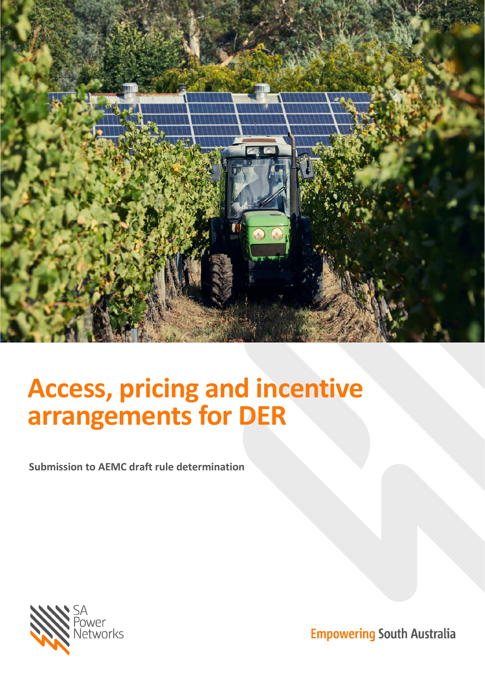

# **Access, pricing and incentive arrangements for DER**

**Submission to AEMC draft rule determination**



**Empowering South Australia**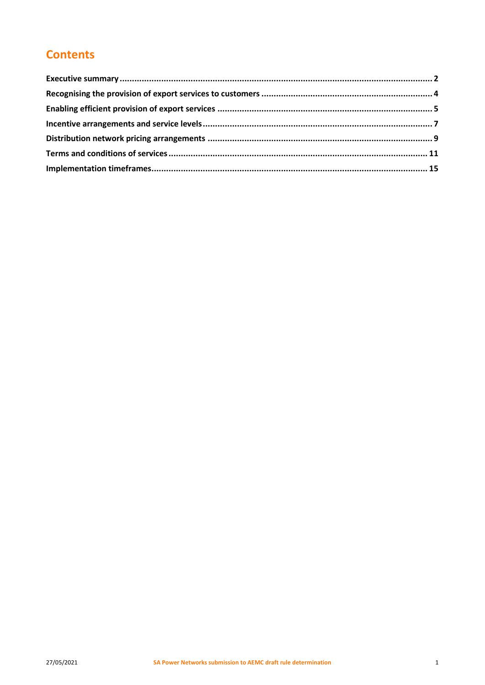# **Contents**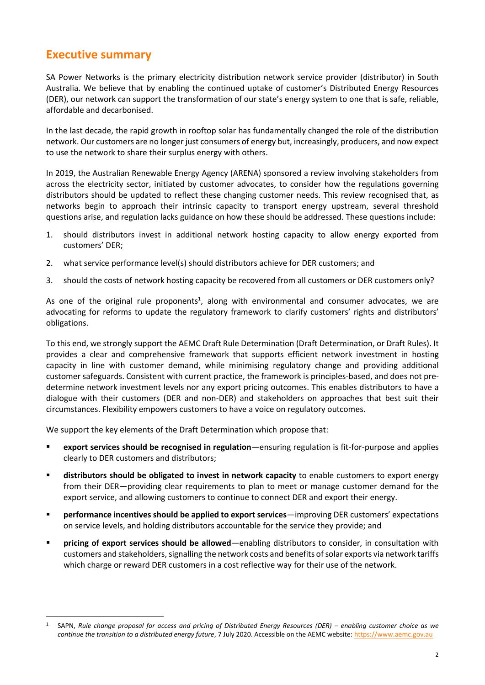## <span id="page-4-0"></span>**Executive summary**

SA Power Networks is the primary electricity distribution network service provider (distributor) in South Australia. We believe that by enabling the continued uptake of customer's Distributed Energy Resources (DER), our network can support the transformation of our state's energy system to one that is safe, reliable, affordable and decarbonised.

In the last decade, the rapid growth in rooftop solar has fundamentally changed the role of the distribution network. Our customers are no longer just consumers of energy but, increasingly, producers, and now expect to use the network to share their surplus energy with others.

In 2019, the Australian Renewable Energy Agency (ARENA) sponsored a review involving stakeholders from across the electricity sector, initiated by customer advocates, to consider how the regulations governing distributors should be updated to reflect these changing customer needs. This review recognised that, as networks begin to approach their intrinsic capacity to transport energy upstream, several threshold questions arise, and regulation lacks guidance on how these should be addressed. These questions include:

- 1. should distributors invest in additional network hosting capacity to allow energy exported from customers' DER;
- 2. what service performance level(s) should distributors achieve for DER customers; and
- 3. should the costs of network hosting capacity be recovered from all customers or DER customers only?

As one of the original rule proponents<sup>1</sup>, along with environmental and consumer advocates, we are advocating for reforms to update the regulatory framework to clarify customers' rights and distributors' obligations.

To this end, we strongly support the AEMC Draft Rule Determination (Draft Determination, or Draft Rules). It provides a clear and comprehensive framework that supports efficient network investment in hosting capacity in line with customer demand, while minimising regulatory change and providing additional customer safeguards. Consistent with current practice, the framework is principles-based, and does not predetermine network investment levels nor any export pricing outcomes. This enables distributors to have a dialogue with their customers (DER and non-DER) and stakeholders on approaches that best suit their circumstances. Flexibility empowers customers to have a voice on regulatory outcomes.

We support the key elements of the Draft Determination which propose that:

- **export services should be recognised in regulation**—ensuring regulation is fit-for-purpose and applies clearly to DER customers and distributors;
- **distributors should be obligated to invest in network capacity** to enable customers to export energy from their DER—providing clear requirements to plan to meet or manage customer demand for the export service, and allowing customers to continue to connect DER and export their energy.
- **performance incentives should be applied to export services**—improving DER customers' expectations on service levels, and holding distributors accountable for the service they provide; and
- **pricing of export services should be allowed**—enabling distributors to consider, in consultation with customers and stakeholders, signalling the network costs and benefits of solar exports via network tariffs which charge or reward DER customers in a cost reflective way for their use of the network.

<sup>1</sup> SAPN, *Rule change proposal for access and pricing of Distributed Energy Resources (DER) – enabling customer choice as we continue the transition to a distributed energy future*, 7 July 2020. Accessible on the AEMC website: [https://www.aemc.gov.au](https://www.aemc.gov.au/)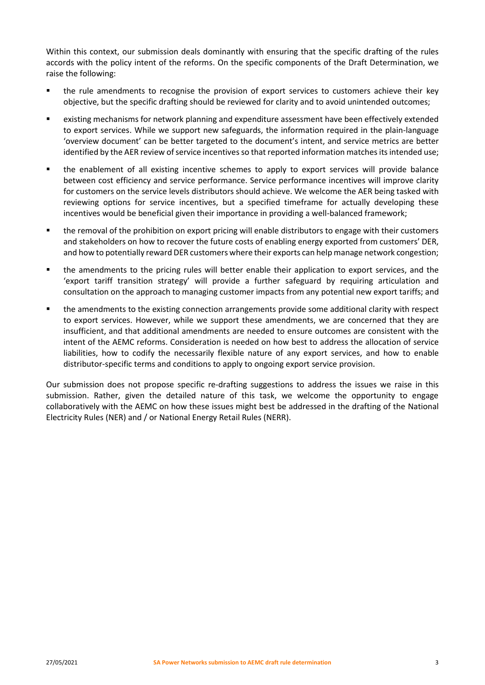Within this context, our submission deals dominantly with ensuring that the specific drafting of the rules accords with the policy intent of the reforms. On the specific components of the Draft Determination, we raise the following:

- the rule amendments to recognise the provision of export services to customers achieve their key objective, but the specific drafting should be reviewed for clarity and to avoid unintended outcomes;
- existing mechanisms for network planning and expenditure assessment have been effectively extended to export services. While we support new safeguards, the information required in the plain-language 'overview document' can be better targeted to the document's intent, and service metrics are better identified by the AER review of service incentives so that reported information matches its intended use;
- the enablement of all existing incentive schemes to apply to export services will provide balance between cost efficiency and service performance. Service performance incentives will improve clarity for customers on the service levels distributors should achieve. We welcome the AER being tasked with reviewing options for service incentives, but a specified timeframe for actually developing these incentives would be beneficial given their importance in providing a well-balanced framework;
- the removal of the prohibition on export pricing will enable distributors to engage with their customers and stakeholders on how to recover the future costs of enabling energy exported from customers' DER, and how to potentially reward DER customers where their exports can help manage network congestion;
- the amendments to the pricing rules will better enable their application to export services, and the 'export tariff transition strategy' will provide a further safeguard by requiring articulation and consultation on the approach to managing customer impacts from any potential new export tariffs; and
- the amendments to the existing connection arrangements provide some additional clarity with respect to export services. However, while we support these amendments, we are concerned that they are insufficient, and that additional amendments are needed to ensure outcomes are consistent with the intent of the AEMC reforms. Consideration is needed on how best to address the allocation of service liabilities, how to codify the necessarily flexible nature of any export services, and how to enable distributor-specific terms and conditions to apply to ongoing export service provision.

Our submission does not propose specific re-drafting suggestions to address the issues we raise in this submission. Rather, given the detailed nature of this task, we welcome the opportunity to engage collaboratively with the AEMC on how these issues might best be addressed in the drafting of the National Electricity Rules (NER) and / or National Energy Retail Rules (NERR).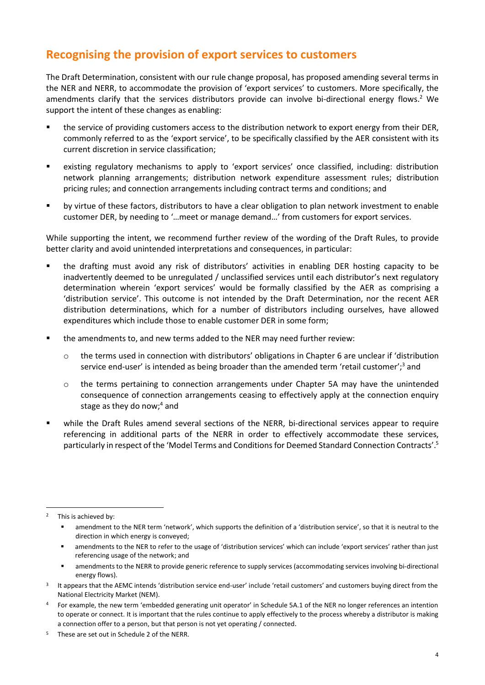## <span id="page-6-0"></span>**Recognising the provision of export services to customers**

The Draft Determination, consistent with our rule change proposal, has proposed amending several terms in the NER and NERR, to accommodate the provision of 'export services' to customers. More specifically, the amendments clarify that the services distributors provide can involve bi-directional energy flows. <sup>2</sup> We support the intent of these changes as enabling:

- the service of providing customers access to the distribution network to export energy from their DER, commonly referred to as the 'export service', to be specifically classified by the AER consistent with its current discretion in service classification;
- existing regulatory mechanisms to apply to 'export services' once classified, including: distribution network planning arrangements; distribution network expenditure assessment rules; distribution pricing rules; and connection arrangements including contract terms and conditions; and
- by virtue of these factors, distributors to have a clear obligation to plan network investment to enable customer DER, by needing to '…meet or manage demand…' from customers for export services.

While supporting the intent, we recommend further review of the wording of the Draft Rules, to provide better clarity and avoid unintended interpretations and consequences, in particular:

- the drafting must avoid any risk of distributors' activities in enabling DER hosting capacity to be inadvertently deemed to be unregulated / unclassified services until each distributor's next regulatory determination wherein 'export services' would be formally classified by the AER as comprising a 'distribution service'. This outcome is not intended by the Draft Determination, nor the recent AER distribution determinations, which for a number of distributors including ourselves, have allowed expenditures which include those to enable customer DER in some form;
- the amendments to, and new terms added to the NER may need further review:
	- o the terms used in connection with distributors' obligations in Chapter 6 are unclear if 'distribution service end-user' is intended as being broader than the amended term 'retail customer';<sup>3</sup> and
	- o the terms pertaining to connection arrangements under Chapter 5A may have the unintended consequence of connection arrangements ceasing to effectively apply at the connection enquiry stage as they do now; <sup>4</sup> and
- while the Draft Rules amend several sections of the NERR, bi-directional services appear to require referencing in additional parts of the NERR in order to effectively accommodate these services, particularly in respect of the 'Model Terms and Conditions for Deemed Standard Connection Contracts'.<sup>5</sup>

<sup>2</sup> This is achieved by:

amendment to the NER term 'network', which supports the definition of a 'distribution service', so that it is neutral to the direction in which energy is conveyed;

amendments to the NER to refer to the usage of 'distribution services' which can include 'export services' rather than just referencing usage of the network; and

amendments to the NERR to provide generic reference to supply services (accommodating services involving bi-directional energy flows).

<sup>&</sup>lt;sup>3</sup> It appears that the AEMC intends 'distribution service end-user' include 'retail customers' and customers buying direct from the National Electricity Market (NEM).

<sup>4</sup> For example, the new term 'embedded generating unit operator' in Schedule 5A.1 of the NER no longer references an intention to operate or connect. It is important that the rules continue to apply effectively to the process whereby a distributor is making a connection offer to a person, but that person is not yet operating / connected.

 $5$  These are set out in Schedule 2 of the NERR.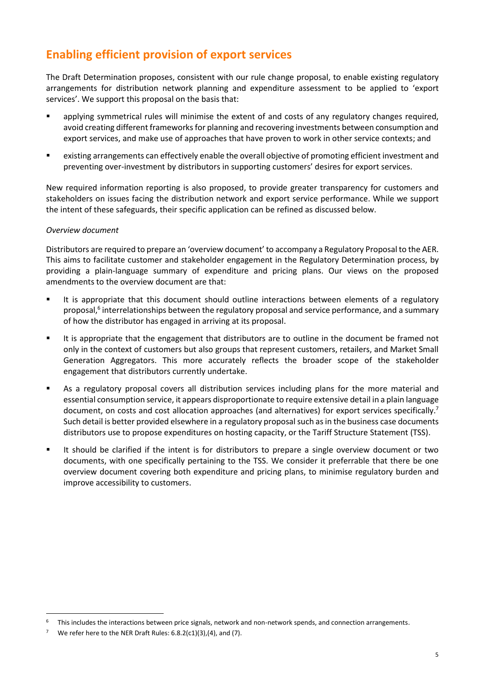# <span id="page-7-0"></span>**Enabling efficient provision of export services**

The Draft Determination proposes, consistent with our rule change proposal, to enable existing regulatory arrangements for distribution network planning and expenditure assessment to be applied to 'export services'. We support this proposal on the basis that:

- applying symmetrical rules will minimise the extent of and costs of any regulatory changes required, avoid creating different frameworks for planning and recovering investments between consumption and export services, and make use of approaches that have proven to work in other service contexts; and
- existing arrangements can effectively enable the overall objective of promoting efficient investment and preventing over-investment by distributors in supporting customers' desires for export services.

New required information reporting is also proposed, to provide greater transparency for customers and stakeholders on issues facing the distribution network and export service performance. While we support the intent of these safeguards, their specific application can be refined as discussed below.

#### *Overview document*

Distributors are required to prepare an 'overview document' to accompany a Regulatory Proposal to the AER. This aims to facilitate customer and stakeholder engagement in the Regulatory Determination process, by providing a plain-language summary of expenditure and pricing plans. Our views on the proposed amendments to the overview document are that:

- **E** It is appropriate that this document should outline interactions between elements of a regulatory proposal,<sup>6</sup> interrelationships between the regulatory proposal and service performance, and a summary of how the distributor has engaged in arriving at its proposal.
- It is appropriate that the engagement that distributors are to outline in the document be framed not only in the context of customers but also groups that represent customers, retailers, and Market Small Generation Aggregators. This more accurately reflects the broader scope of the stakeholder engagement that distributors currently undertake.
- As a regulatory proposal covers all distribution services including plans for the more material and essential consumption service, it appears disproportionate to require extensive detail in a plain language document, on costs and cost allocation approaches (and alternatives) for export services specifically.<sup>7</sup> Such detail is better provided elsewhere in a regulatory proposal such as in the business case documents distributors use to propose expenditures on hosting capacity, or the Tariff Structure Statement (TSS).
- It should be clarified if the intent is for distributors to prepare a single overview document or two documents, with one specifically pertaining to the TSS. We consider it preferrable that there be one overview document covering both expenditure and pricing plans, to minimise regulatory burden and improve accessibility to customers.

<sup>6</sup> This includes the interactions between price signals, network and non-network spends, and connection arrangements.

<sup>7</sup> We refer here to the NER Draft Rules: 6.8.2(c1)(3),(4), and (7).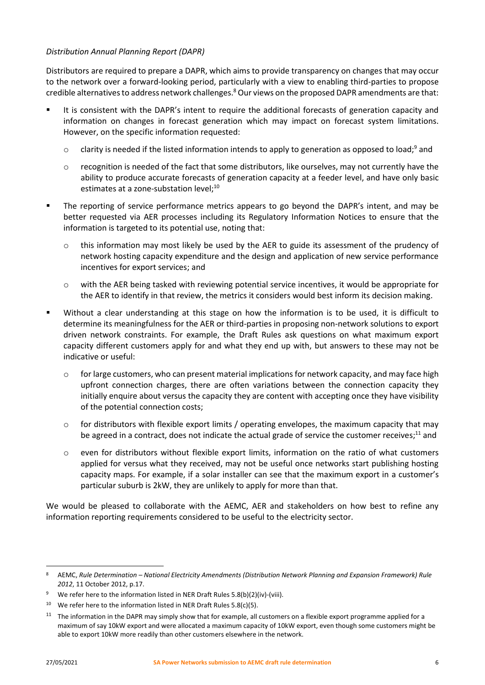#### *Distribution Annual Planning Report (DAPR)*

Distributors are required to prepare a DAPR, which aims to provide transparency on changes that may occur to the network over a forward-looking period, particularly with a view to enabling third-parties to propose credible alternatives to address network challenges.<sup>8</sup> Our views on the proposed DAPR amendments are that:

- It is consistent with the DAPR's intent to require the additional forecasts of generation capacity and information on changes in forecast generation which may impact on forecast system limitations. However, on the specific information requested:
	- $\circ$  clarity is needed if the listed information intends to apply to generation as opposed to load;<sup>9</sup> and
	- $\circ$  recognition is needed of the fact that some distributors, like ourselves, may not currently have the ability to produce accurate forecasts of generation capacity at a feeder level, and have only basic estimates at a zone-substation level;<sup>10</sup>
- The reporting of service performance metrics appears to go beyond the DAPR's intent, and may be better requested via AER processes including its Regulatory Information Notices to ensure that the information is targeted to its potential use, noting that:
	- o this information may most likely be used by the AER to guide its assessment of the prudency of network hosting capacity expenditure and the design and application of new service performance incentives for export services; and
	- o with the AER being tasked with reviewing potential service incentives, it would be appropriate for the AER to identify in that review, the metrics it considers would best inform its decision making.
- Without a clear understanding at this stage on how the information is to be used, it is difficult to determine its meaningfulness for the AER or third-parties in proposing non-network solutions to export driven network constraints. For example, the Draft Rules ask questions on what maximum export capacity different customers apply for and what they end up with, but answers to these may not be indicative or useful:
	- $\circ$  for large customers, who can present material implications for network capacity, and may face high upfront connection charges, there are often variations between the connection capacity they initially enquire about versus the capacity they are content with accepting once they have visibility of the potential connection costs;
	- $\circ$  for distributors with flexible export limits / operating envelopes, the maximum capacity that may be agreed in a contract, does not indicate the actual grade of service the customer receives;<sup>11</sup> and
	- o even for distributors without flexible export limits, information on the ratio of what customers applied for versus what they received, may not be useful once networks start publishing hosting capacity maps. For example, if a solar installer can see that the maximum export in a customer's particular suburb is 2kW, they are unlikely to apply for more than that.

We would be pleased to collaborate with the AEMC, AER and stakeholders on how best to refine any information reporting requirements considered to be useful to the electricity sector.

<sup>8</sup> AEMC, *Rule Determination – National Electricity Amendments (Distribution Network Planning and Expansion Framework) Rule 2012*, 11 October 2012, p.17.

We refer here to the information listed in NER Draft Rules 5.8(b)(2)(iv)-(viii).

<sup>&</sup>lt;sup>10</sup> We refer here to the information listed in NER Draft Rules 5.8(c)(5).

 $11$  The information in the DAPR may simply show that for example, all customers on a flexible export programme applied for a maximum of say 10kW export and were allocated a maximum capacity of 10kW export, even though some customers might be able to export 10kW more readily than other customers elsewhere in the network.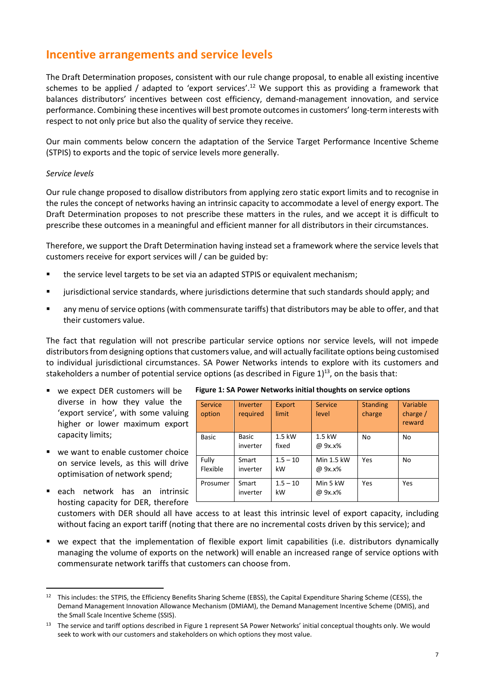## <span id="page-9-0"></span>**Incentive arrangements and service levels**

The Draft Determination proposes, consistent with our rule change proposal, to enable all existing incentive schemes to be applied / adapted to 'export services'.<sup>12</sup> We support this as providing a framework that balances distributors' incentives between cost efficiency, demand-management innovation, and service performance. Combining these incentives will best promote outcomes in customers' long-term interests with respect to not only price but also the quality of service they receive.

Our main comments below concern the adaptation of the Service Target Performance Incentive Scheme (STPIS) to exports and the topic of service levels more generally.

#### *Service levels*

Our rule change proposed to disallow distributors from applying zero static export limits and to recognise in the rules the concept of networks having an intrinsic capacity to accommodate a level of energy export. The Draft Determination proposes to not prescribe these matters in the rules, and we accept it is difficult to prescribe these outcomes in a meaningful and efficient manner for all distributors in their circumstances.

Therefore, we support the Draft Determination having instead set a framework where the service levels that customers receive for export services will / can be guided by:

- the service level targets to be set via an adapted STPIS or equivalent mechanism;
- jurisdictional service standards, where jurisdictions determine that such standards should apply; and
- any menu of service options (with commensurate tariffs) that distributors may be able to offer, and that their customers value.

The fact that regulation will not prescribe particular service options nor service levels, will not impede distributors from designing options that customers value, and will actually facilitate options being customised to individual jurisdictional circumstances. SA Power Networks intends to explore with its customers and stakeholders a number of potential service options (as described in Figure 1)<sup>13</sup>, on the basis that:

- we expect DER customers will be diverse in how they value the 'export service', with some valuing higher or lower maximum export capacity limits;
- we want to enable customer choice on service levels, as this will drive optimisation of network spend;
- each network has an intrinsic hosting capacity for DER, therefore

| Service<br>option | Inverter<br>required     | Export<br>limit   | <b>Service</b><br>level | <b>Standing</b><br>charge | Variable<br>charge $/$<br>reward |
|-------------------|--------------------------|-------------------|-------------------------|---------------------------|----------------------------------|
| <b>Basic</b>      | <b>Basic</b><br>inverter | $1.5$ kW<br>fixed | 1.5 kW<br>@ 9x.x%       | No                        | No                               |
| Fully<br>Flexible | Smart<br>inverter        | $1.5 - 10$<br>kW  | Min 1.5 kW<br>@ 9x.x%   | Yes                       | No                               |
| Prosumer          | Smart<br>inverter        | $1.5 - 10$<br>kW  | Min 5 kW<br>@ 9x.x%     | Yes                       | Yes                              |

**Figure 1: SA Power Networks initial thoughts on service options**

customers with DER should all have access to at least this intrinsic level of export capacity, including without facing an export tariff (noting that there are no incremental costs driven by this service); and

▪ we expect that the implementation of flexible export limit capabilities (i.e. distributors dynamically managing the volume of exports on the network) will enable an increased range of service options with commensurate network tariffs that customers can choose from.

<sup>12</sup> This includes: the STPIS, the Efficiency Benefits Sharing Scheme (EBSS), the Capital Expenditure Sharing Scheme (CESS), the Demand Management Innovation Allowance Mechanism (DMIAM), the Demand Management Incentive Scheme (DMIS), and the Small Scale Incentive Scheme (SSIS).

<sup>&</sup>lt;sup>13</sup> The service and tariff options described in Figure 1 represent SA Power Networks' initial conceptual thoughts only. We would seek to work with our customers and stakeholders on which options they most value.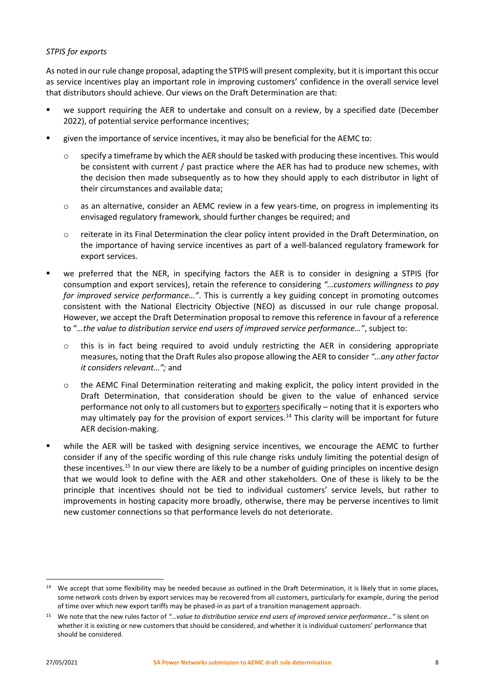#### *STPIS for exports*

As noted in our rule change proposal, adapting the STPIS will present complexity, but it is important this occur as service incentives play an important role in improving customers' confidence in the overall service level that distributors should achieve. Our views on the Draft Determination are that:

- we support requiring the AER to undertake and consult on a review, by a specified date (December 2022), of potential service performance incentives;
- given the importance of service incentives, it may also be beneficial for the AEMC to:
	- specify a timeframe by which the AER should be tasked with producing these incentives. This would be consistent with current / past practice where the AER has had to produce new schemes, with the decision then made subsequently as to how they should apply to each distributor in light of their circumstances and available data;
	- o as an alternative, consider an AEMC review in a few years-time, on progress in implementing its envisaged regulatory framework, should further changes be required; and
	- o reiterate in its Final Determination the clear policy intent provided in the Draft Determination, on the importance of having service incentives as part of a well-balanced regulatory framework for export services.
- we preferred that the NER, in specifying factors the AER is to consider in designing a STPIS (for consumption and export services), retain the reference to considering *"…customers willingness to pay for improved service performance…"*. This is currently a key guiding concept in promoting outcomes consistent with the National Electricity Objective (NEO) as discussed in our rule change proposal. However, we accept the Draft Determination proposal to remove this reference in favour of a reference to "*…the value to distribution service end users of improved service performance…"*, subject to:
	- o this is in fact being required to avoid unduly restricting the AER in considering appropriate measures, noting that the Draft Rules also propose allowing the AER to consider *"…any other factor it considers relevant…";* and
	- o the AEMC Final Determination reiterating and making explicit, the policy intent provided in the Draft Determination, that consideration should be given to the value of enhanced service performance not only to all customers but to exporters specifically - noting that it is exporters who may ultimately pay for the provision of export services.<sup>14</sup> This clarity will be important for future AER decision-making.
- while the AER will be tasked with designing service incentives, we encourage the AEMC to further consider if any of the specific wording of this rule change risks unduly limiting the potential design of these incentives.<sup>15</sup> In our view there are likely to be a number of guiding principles on incentive design that we would look to define with the AER and other stakeholders. One of these is likely to be the principle that incentives should not be tied to individual customers' service levels, but rather to improvements in hosting capacity more broadly, otherwise, there may be perverse incentives to limit new customer connections so that performance levels do not deteriorate.

<sup>&</sup>lt;sup>14</sup> We accept that some flexibility may be needed because as outlined in the Draft Determination, it is likely that in some places, some network costs driven by export services may be recovered from all customers, particularly for example, during the period of time over which new export tariffs may be phased-in as part of a transition management approach.

<sup>15</sup> We note that the new rules factor of *"…value to distribution service end users of improved service performance…"* is silent on whether it is existing or new customers that should be considered, and whether it is individual customers' performance that should be considered.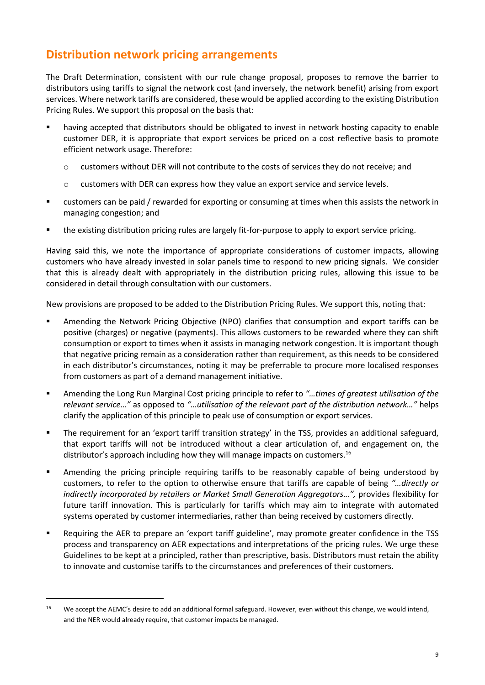## <span id="page-11-0"></span>**Distribution network pricing arrangements**

The Draft Determination, consistent with our rule change proposal, proposes to remove the barrier to distributors using tariffs to signal the network cost (and inversely, the network benefit) arising from export services. Where network tariffs are considered, these would be applied according to the existing Distribution Pricing Rules. We support this proposal on the basis that:

- having accepted that distributors should be obligated to invest in network hosting capacity to enable customer DER, it is appropriate that export services be priced on a cost reflective basis to promote efficient network usage. Therefore:
	- o customers without DER will not contribute to the costs of services they do not receive; and
	- o customers with DER can express how they value an export service and service levels.
- customers can be paid / rewarded for exporting or consuming at times when this assists the network in managing congestion; and
- the existing distribution pricing rules are largely fit-for-purpose to apply to export service pricing.

Having said this, we note the importance of appropriate considerations of customer impacts, allowing customers who have already invested in solar panels time to respond to new pricing signals. We consider that this is already dealt with appropriately in the distribution pricing rules, allowing this issue to be considered in detail through consultation with our customers.

New provisions are proposed to be added to the Distribution Pricing Rules. We support this, noting that:

- Amending the Network Pricing Objective (NPO) clarifies that consumption and export tariffs can be positive (charges) or negative (payments). This allows customers to be rewarded where they can shift consumption or export to times when it assists in managing network congestion. It is important though that negative pricing remain as a consideration rather than requirement, as this needs to be considered in each distributor's circumstances, noting it may be preferrable to procure more localised responses from customers as part of a demand management initiative.
- Amending the Long Run Marginal Cost pricing principle to refer to *"…times of greatest utilisation of the relevant service…"* as opposed to *"…utilisation of the relevant part of the distribution network…"* helps clarify the application of this principle to peak use of consumption or export services.
- The requirement for an 'export tariff transition strategy' in the TSS, provides an additional safeguard, that export tariffs will not be introduced without a clear articulation of, and engagement on, the distributor's approach including how they will manage impacts on customers.<sup>16</sup>
- **EXED** Amending the pricing principle requiring tariffs to be reasonably capable of being understood by customers, to refer to the option to otherwise ensure that tariffs are capable of being *"…directly or indirectly incorporated by retailers or Market Small Generation Aggregators…",* provides flexibility for future tariff innovation. This is particularly for tariffs which may aim to integrate with automated systems operated by customer intermediaries, rather than being received by customers directly.
- Requiring the AER to prepare an 'export tariff guideline', may promote greater confidence in the TSS process and transparency on AER expectations and interpretations of the pricing rules. We urge these Guidelines to be kept at a principled, rather than prescriptive, basis. Distributors must retain the ability to innovate and customise tariffs to the circumstances and preferences of their customers.

<sup>&</sup>lt;sup>16</sup> We accept the AEMC's desire to add an additional formal safeguard. However, even without this change, we would intend, and the NER would already require, that customer impacts be managed.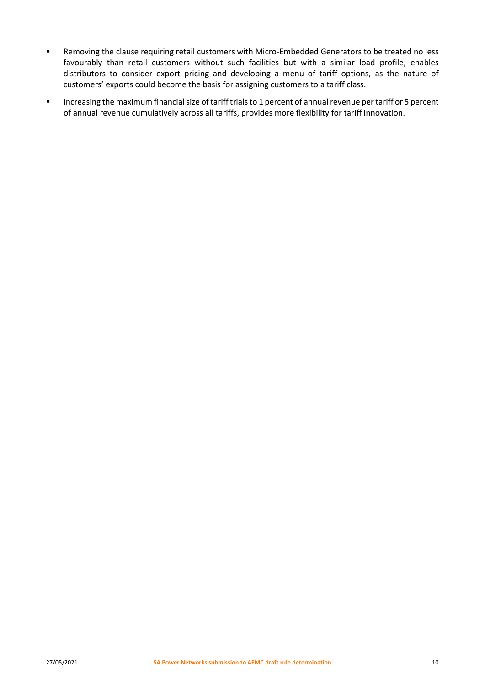- Removing the clause requiring retail customers with Micro-Embedded Generators to be treated no less favourably than retail customers without such facilities but with a similar load profile, enables distributors to consider export pricing and developing a menu of tariff options, as the nature of customers' exports could become the basis for assigning customers to a tariff class.
- Increasing the maximum financial size of tariff trials to 1 percent of annual revenue per tariff or 5 percent of annual revenue cumulatively across all tariffs, provides more flexibility for tariff innovation.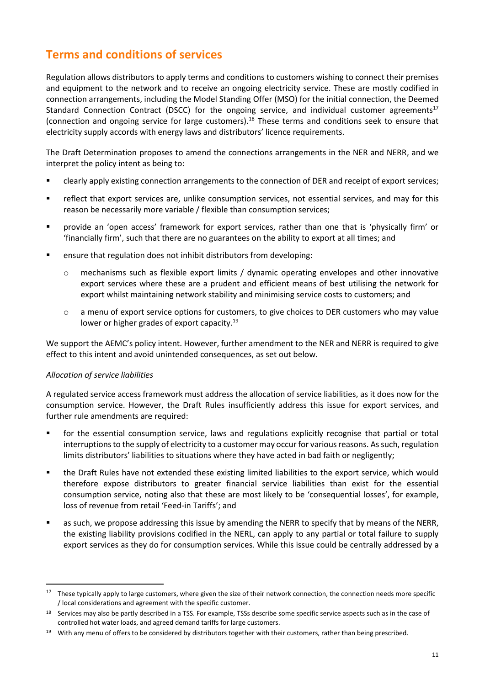# <span id="page-13-0"></span>**Terms and conditions of services**

Regulation allows distributors to apply terms and conditions to customers wishing to connect their premises and equipment to the network and to receive an ongoing electricity service. These are mostly codified in connection arrangements, including the Model Standing Offer (MSO) for the initial connection, the Deemed Standard Connection Contract (DSCC) for the ongoing service, and individual customer agreements<sup>17</sup> (connection and ongoing service for large customers).<sup>18</sup> These terms and conditions seek to ensure that electricity supply accords with energy laws and distributors' licence requirements.

The Draft Determination proposes to amend the connections arrangements in the NER and NERR, and we interpret the policy intent as being to:

- clearly apply existing connection arrangements to the connection of DER and receipt of export services;
- **•** reflect that export services are, unlike consumption services, not essential services, and may for this reason be necessarily more variable / flexible than consumption services;
- provide an 'open access' framework for export services, rather than one that is 'physically firm' or 'financially firm', such that there are no guarantees on the ability to export at all times; and
- ensure that regulation does not inhibit distributors from developing:
	- o mechanisms such as flexible export limits / dynamic operating envelopes and other innovative export services where these are a prudent and efficient means of best utilising the network for export whilst maintaining network stability and minimising service costs to customers; and
	- o a menu of export service options for customers, to give choices to DER customers who may value lower or higher grades of export capacity.<sup>19</sup>

We support the AEMC's policy intent. However, further amendment to the NER and NERR is required to give effect to this intent and avoid unintended consequences, as set out below.

#### *Allocation of service liabilities*

A regulated service access framework must address the allocation of service liabilities, as it does now for the consumption service. However, the Draft Rules insufficiently address this issue for export services, and further rule amendments are required:

- **•** for the essential consumption service, laws and regulations explicitly recognise that partial or total interruptions to the supply of electricity to a customer may occur for various reasons. As such, regulation limits distributors' liabilities to situations where they have acted in bad faith or negligently;
- the Draft Rules have not extended these existing limited liabilities to the export service, which would therefore expose distributors to greater financial service liabilities than exist for the essential consumption service, noting also that these are most likely to be 'consequential losses', for example, loss of revenue from retail 'Feed-in Tariffs'; and
- as such, we propose addressing this issue by amending the NERR to specify that by means of the NERR, the existing liability provisions codified in the NERL, can apply to any partial or total failure to supply export services as they do for consumption services. While this issue could be centrally addressed by a

<sup>&</sup>lt;sup>17</sup> These typically apply to large customers, where given the size of their network connection, the connection needs more specific / local considerations and agreement with the specific customer.

<sup>18</sup> Services may also be partly described in a TSS. For example, TSSs describe some specific service aspects such as in the case of controlled hot water loads, and agreed demand tariffs for large customers.

<sup>19</sup> With any menu of offers to be considered by distributors together with their customers, rather than being prescribed.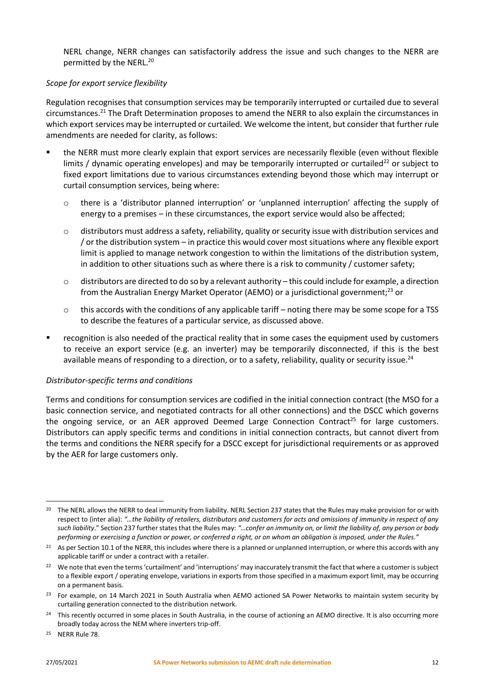NERL change, NERR changes can satisfactorily address the issue and such changes to the NERR are permitted by the NERL.<sup>20</sup>

#### *Scope for export service flexibility*

Regulation recognises that consumption services may be temporarily interrupted or curtailed due to several circumstances.<sup>21</sup> The Draft Determination proposes to amend the NERR to also explain the circumstances in which export services may be interrupted or curtailed. We welcome the intent, but consider that further rule amendments are needed for clarity, as follows:

- the NERR must more clearly explain that export services are necessarily flexible (even without flexible limits / dynamic operating envelopes) and may be temporarily interrupted or curtailed<sup>22</sup> or subject to fixed export limitations due to various circumstances extending beyond those which may interrupt or curtail consumption services, being where:
	- o there is a 'distributor planned interruption' or 'unplanned interruption' affecting the supply of energy to a premises – in these circumstances, the export service would also be affected;
	- o distributors must address a safety, reliability, quality or security issue with distribution services and / or the distribution system – in practice this would cover most situations where any flexible export limit is applied to manage network congestion to within the limitations of the distribution system, in addition to other situations such as where there is a risk to community / customer safety;
	- $\circ$  distributors are directed to do so by a relevant authority this could include for example, a direction from the Australian Energy Market Operator (AEMO) or a jurisdictional government;<sup>23</sup> or
	- $\circ$  this accords with the conditions of any applicable tariff noting there may be some scope for a TSS to describe the features of a particular service, as discussed above.
- recognition is also needed of the practical reality that in some cases the equipment used by customers to receive an export service (e.g. an inverter) may be temporarily disconnected, if this is the best available means of responding to a direction, or to a safety, reliability, quality or security issue.<sup>24</sup>

#### *Distributor-specific terms and conditions*

Terms and conditions for consumption services are codified in the initial connection contract (the MSO for a basic connection service, and negotiated contracts for all other connections) and the DSCC which governs the ongoing service, or an AER approved Deemed Large Connection Contract<sup>25</sup> for large customers. Distributors can apply specific terms and conditions in initial connection contracts, but cannot divert from the terms and conditions the NERR specify for a DSCC except for jurisdictional requirements or as approved by the AER for large customers only.

<sup>&</sup>lt;sup>20</sup> The NERL allows the NERR to deal immunity from liability. NERL Section 237 states that the Rules may make provision for or with respect to (inter alia): *"…the liability of retailers, distributors and customers for acts and omissions of immunity in respect of any such liability*." Section 237 further states that the Rules may: *"…confer an immunity on, or limit the liability of, any person or body performing or exercising a function or power, or conferred a right, or on whom an obligation is imposed, under the Rules."*

<sup>&</sup>lt;sup>21</sup> As per Section 10.1 of the NERR, this includes where there is a planned or unplanned interruption, or where this accords with any applicable tariff or under a contract with a retailer.

<sup>&</sup>lt;sup>22</sup> We note that even the terms 'curtailment' and 'interruptions' may inaccurately transmit the fact that where a customer is subject to a flexible export / operating envelope, variations in exports from those specified in a maximum export limit, may be occurring on a permanent basis.

<sup>&</sup>lt;sup>23</sup> For example, on 14 March 2021 in South Australia when AEMO actioned SA Power Networks to maintain system security by curtailing generation connected to the distribution network.

<sup>&</sup>lt;sup>24</sup> This recently occurred in some places in South Australia, in the course of actioning an AEMO directive. It is also occurring more broadly today across the NEM where inverters trip-off.

<sup>25</sup> NERR Rule 78.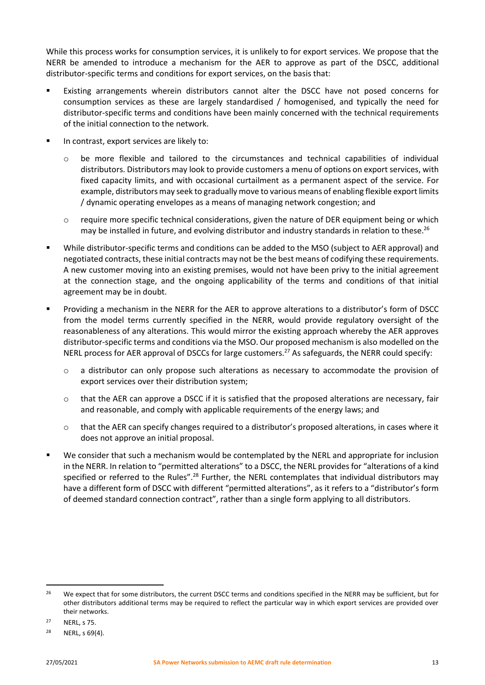While this process works for consumption services, it is unlikely to for export services. We propose that the NERR be amended to introduce a mechanism for the AER to approve as part of the DSCC, additional distributor-specific terms and conditions for export services, on the basis that:

- Existing arrangements wherein distributors cannot alter the DSCC have not posed concerns for consumption services as these are largely standardised / homogenised, and typically the need for distributor-specific terms and conditions have been mainly concerned with the technical requirements of the initial connection to the network.
- In contrast, export services are likely to:
	- o be more flexible and tailored to the circumstances and technical capabilities of individual distributors. Distributors may look to provide customers a menu of options on export services, with fixed capacity limits, and with occasional curtailment as a permanent aspect of the service. For example, distributors may seek to gradually move to various means of enabling flexible export limits / dynamic operating envelopes as a means of managing network congestion; and
	- o require more specific technical considerations, given the nature of DER equipment being or which may be installed in future, and evolving distributor and industry standards in relation to these.<sup>26</sup>
- While distributor-specific terms and conditions can be added to the MSO (subject to AER approval) and negotiated contracts, these initial contracts may not be the best means of codifying these requirements. A new customer moving into an existing premises, would not have been privy to the initial agreement at the connection stage, and the ongoing applicability of the terms and conditions of that initial agreement may be in doubt.
- Providing a mechanism in the NERR for the AER to approve alterations to a distributor's form of DSCC from the model terms currently specified in the NERR, would provide regulatory oversight of the reasonableness of any alterations. This would mirror the existing approach whereby the AER approves distributor-specific terms and conditions via the MSO. Our proposed mechanism is also modelled on the NERL process for AER approval of DSCCs for large customers.<sup>27</sup> As safeguards, the NERR could specify:
	- o a distributor can only propose such alterations as necessary to accommodate the provision of export services over their distribution system;
	- $\circ$  that the AER can approve a DSCC if it is satisfied that the proposed alterations are necessary, fair and reasonable, and comply with applicable requirements of the energy laws; and
	- o that the AER can specify changes required to a distributor's proposed alterations, in cases where it does not approve an initial proposal.
- We consider that such a mechanism would be contemplated by the NERL and appropriate for inclusion in the NERR. In relation to "permitted alterations" to a DSCC, the NERL provides for "alterations of a kind specified or referred to the Rules".<sup>28</sup> Further, the NERL contemplates that individual distributors may have a different form of DSCC with different "permitted alterations", as it refers to a "distributor's form of deemed standard connection contract", rather than a single form applying to all distributors.

<sup>&</sup>lt;sup>26</sup> We expect that for some distributors, the current DSCC terms and conditions specified in the NERR may be sufficient, but for other distributors additional terms may be required to reflect the particular way in which export services are provided over their networks.

<sup>27</sup> NERL, s 75.

<sup>28</sup> NERL, s 69(4).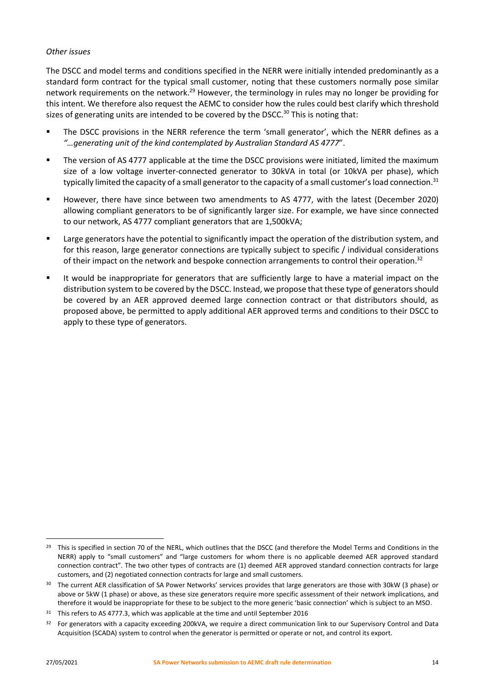#### *Other issues*

The DSCC and model terms and conditions specified in the NERR were initially intended predominantly as a standard form contract for the typical small customer, noting that these customers normally pose similar network requirements on the network.<sup>29</sup> However, the terminology in rules may no longer be providing for this intent. We therefore also request the AEMC to consider how the rules could best clarify which threshold sizes of generating units are intended to be covered by the DSCC. $30$  This is noting that:

- The DSCC provisions in the NERR reference the term 'small generator', which the NERR defines as a *"…generating unit of the kind contemplated by Australian Standard AS 4777*".
- **•** The version of AS 4777 applicable at the time the DSCC provisions were initiated, limited the maximum size of a low voltage inverter-connected generator to 30kVA in total (or 10kVA per phase), which typically limited the capacity of a small generator to the capacity of a small customer's load connection.<sup>31</sup>
- However, there have since between two amendments to AS 4777, with the latest (December 2020) allowing compliant generators to be of significantly larger size. For example, we have since connected to our network, AS 4777 compliant generators that are 1,500kVA;
- Large generators have the potential to significantly impact the operation of the distribution system, and for this reason, large generator connections are typically subject to specific / individual considerations of their impact on the network and bespoke connection arrangements to control their operation.<sup>32</sup>
- It would be inappropriate for generators that are sufficiently large to have a material impact on the distribution system to be covered by the DSCC. Instead, we propose that these type of generators should be covered by an AER approved deemed large connection contract or that distributors should, as proposed above, be permitted to apply additional AER approved terms and conditions to their DSCC to apply to these type of generators.

<sup>&</sup>lt;sup>29</sup> This is specified in section 70 of the NERL, which outlines that the DSCC (and therefore the Model Terms and Conditions in the NERR) apply to "small customers" and "large customers for whom there is no applicable deemed AER approved standard connection contract". The two other types of contracts are (1) deemed AER approved standard connection contracts for large customers, and (2) negotiated connection contracts for large and small customers.

<sup>&</sup>lt;sup>30</sup> The current AER classification of SA Power Networks' services provides that large generators are those with 30kW (3 phase) or above or 5kW (1 phase) or above, as these size generators require more specific assessment of their network implications, and therefore it would be inappropriate for these to be subject to the more generic 'basic connection' which is subject to an MSO.

<sup>&</sup>lt;sup>31</sup> This refers to AS 4777.3, which was applicable at the time and until September 2016

<sup>&</sup>lt;sup>32</sup> For generators with a capacity exceeding 200kVA, we require a direct communication link to our Supervisory Control and Data Acquisition (SCADA) system to control when the generator is permitted or operate or not, and control its export.